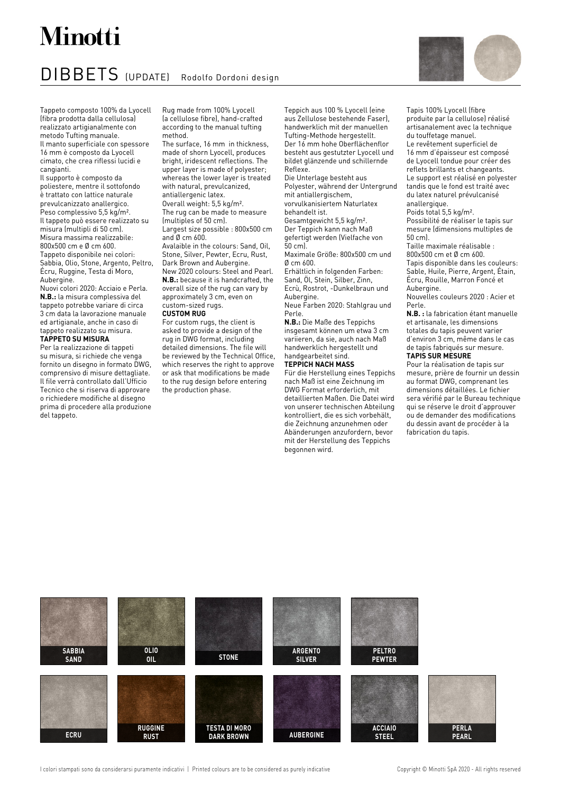## Minotti

### DIBBETS (UPDATE) Rodolfo Dordoni design



Tapis 100% Lyocell (fibre produite par la cellulose) réalisé artisanalement avec la technique

du touffetage manuel. Le revêtement superficiel de

Tappeto composto 100% da Lyocell (fibra prodotta dalla cellulosa) realizzato artigianalmente con metodo Tufting manuale. Il manto superficiale con spessore 16 mm è composto da Lyocell cimato, che crea riflessi lucidi e cangianti.

Il supporto è composto da poliestere, mentre il sottofondo è trattato con lattice naturale prevulcanizzato anallergico. Peso complessivo 5,5 kg/m². Il tappeto può essere realizzato su misura (multipli di 50 cm). Misura massima realizzabile: 800x500 cm e Ø cm 600. Tappeto disponibile nei colori: Sabbia, Olio, Stone, Argento, Peltro, Écru, Ruggine, Testa di Moro, Aubergine.

Nuovi colori 2020: Acciaio e Perla. **N.B.:** la misura complessiva del tappeto potrebbe variare di circa 3 cm data la lavorazione manuale ed artigianale, anche in caso di tappeto realizzato su misura. **TAPPETO SU MISURA**

Per la realizzazione di tappeti su misura, si richiede che venga fornito un disegno in formato DWG, comprensivo di misure dettagliate. Il file verrà controllato dall'Ufficio Tecnico che si riserva di approvare o richiedere modifiche al disegno prima di procedere alla produzione del tappeto.

Rug made from 100% Lyocell (a cellulose fibre), hand-crafted according to the manual tufting method.

The surface, 16 mm in thickness, made of shorn Lyocell, produces bright, iridescent reflections. The upper layer is made of polyester: whereas the lower layer is treated with natural, prevulcanized, antiallergenic latex. Overall weight: 5,5 kg/m². The rug can be made to measure (multiples of 50 cm). Largest size possible : 800x500 cm and Ø cm 600. Avalaible in the colours: Sand, Oil, Stone, Silver, Pewter, Ecru, Rust, Dark Brown and Aubergine. New 2020 colours: Steel and Pearl. **N.B.:** because it is handcrafted, the overall size of the rug can vary by approximately 3 cm, even on custom-sized rugs. **CUSTOM RUG**

#### For custom rugs, the client is asked to provide a design of the rug in DWG format, including detailed dimensions. The file will be reviewed by the Technical Office, which reserves the right to approve or ask that modifications be made to the rug design before entering the production phase.

Teppich aus 100 % Lyocell (eine aus Zellulose bestehende Faser), handwerklich mit der manuellen Tufting-Methode hergestellt. Der 16 mm hohe Oberflächenflor besteht aus gestutzter Lyocell und bildet glänzende und schillernde Reflexe.

Die Unterlage besteht aus Polyester, während der Untergrund mit antiallergischem, vorvulkanisiertem Naturlatex behandelt ist. Gesamtgewicht 5,5 kg/m².

Der Teppich kann nach Maß gefertigt werden (Vielfache von  $50 \text{ cm}$ 

Maximale Größe: 800x500 cm und  $Øcm$  600.

Erhältlich in folgenden Farben: Sand, Öl, Stein, Silber, Zinn,

Ecrù, Rostrot, -Dunkelbraun und Aubergine.

Neue Farben 2020: Stahlgrau und Perle.

**N.B.:** Die Maße des Teppichs insgesamt können um etwa 3 cm variieren, da sie, auch nach Maß handwerklich hergestellt und handgearbeitet sind.

### **TEPPICH NACH MASS**

Für die Herstellung eines Teppichs nach Maß ist eine Zeichnung im DWG Format erforderlich, mit detaillierten Maßen. Die Datei wird von unserer technischen Abteilung kontrolliert, die es sich vorbehält, die Zeichnung anzunehmen oder Abänderungen anzufordern, bevor mit der Herstellung des Teppichs begonnen wird.

16 mm d'épaisseur est composé de Lyocell tondue pour créer des reflets brillants et changeants. Le support est réalisé en polyester tandis que le fond est traité avec du latex naturel prévulcanisé anallergique. Poids total 5,5 kg/m². Possibilité de réaliser le tapis sur mesure (dimensions multiples de 50 cm).

Taille maximale réalisable : 800x500 cm et Ø cm 600. Tapis disponible dans les couleurs: Sable, Huile, Pierre, Argent, Étain, Écru, Rouille, Marron Foncé et Aubergine.

Nouvelles couleurs 2020 : Acier et Perle.

**N.B. :** la fabrication étant manuelle et artisanale, les dimensions totales du tapis peuvent varier d'environ 3 cm, même dans le cas de tapis fabriqués sur mesure. **TAPIS SUR MESURE**

Pour la réalisation de tapis sur mesure, prière de fournir un dessin au format DWG, comprenant les dimensions détaillées. Le fichier sera vérifié par le Bureau technique qui se réserve le droit d'approuver ou de demander des modifications du dessin avant de procéder à la fabrication du tapis.